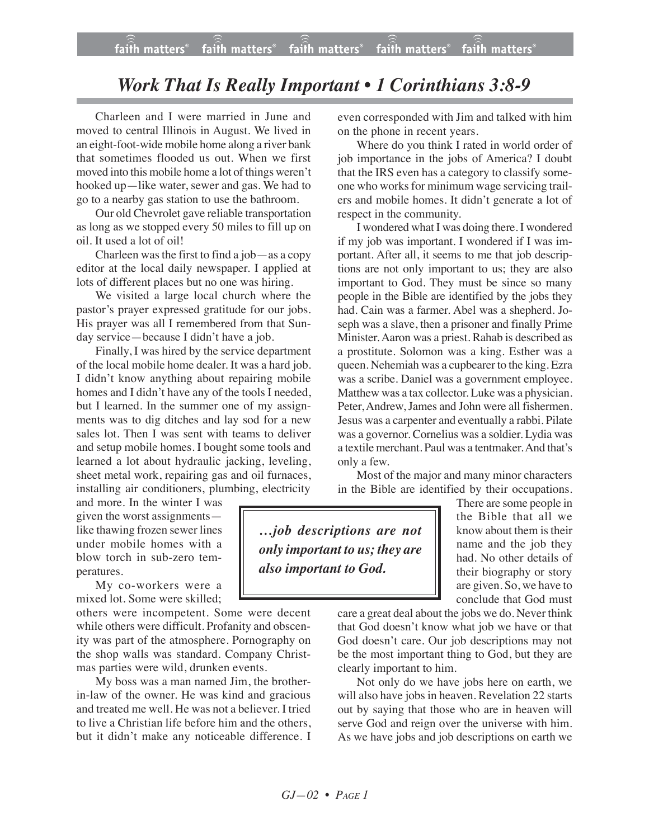## *Work That Is Really Important • 1 Corinthians 3:8-9*

Charleen and I were married in June and moved to central Illinois in August. We lived in an eight-foot-wide mobile home along a river bank that sometimes flooded us out. When we first moved into this mobile home a lot of things weren't hooked up—like water, sewer and gas. We had to go to a nearby gas station to use the bathroom.

Our old Chevrolet gave reliable transportation as long as we stopped every 50 miles to fill up on oil. It used a lot of oil!

Charleen was the first to find a job—as a copy editor at the local daily newspaper. I applied at lots of different places but no one was hiring.

We visited a large local church where the pastor's prayer expressed gratitude for our jobs. His prayer was all I remembered from that Sunday service—because I didn't have a job.

Finally, I was hired by the service department of the local mobile home dealer. It was a hard job. I didn't know anything about repairing mobile homes and I didn't have any of the tools I needed, but I learned. In the summer one of my assignments was to dig ditches and lay sod for a new sales lot. Then I was sent with teams to deliver and setup mobile homes. I bought some tools and learned a lot about hydraulic jacking, leveling, sheet metal work, repairing gas and oil furnaces, installing air conditioners, plumbing, electricity

and more. In the winter I was given the worst assignments like thawing frozen sewer lines under mobile homes with a blow torch in sub-zero temperatures.

My co-workers were a mixed lot. Some were skilled;

others were incompetent. Some were decent while others were difficult. Profanity and obscenity was part of the atmosphere. Pornography on the shop walls was standard. Company Christmas parties were wild, drunken events.

My boss was a man named Jim, the brotherin-law of the owner. He was kind and gracious and treated me well. He was not a believer. I tried to live a Christian life before him and the others, but it didn't make any noticeable difference. I even corresponded with Jim and talked with him on the phone in recent years.

Where do you think I rated in world order of job importance in the jobs of America? I doubt that the IRS even has a category to classify someone who works for minimum wage servicing trailers and mobile homes. It didn't generate a lot of respect in the community.

I wondered what I was doing there. I wondered if my job was important. I wondered if I was important. After all, it seems to me that job descriptions are not only important to us; they are also important to God. They must be since so many people in the Bible are identified by the jobs they had. Cain was a farmer. Abel was a shepherd. Joseph was a slave, then a prisoner and finally Prime Minister. Aaron was a priest. Rahab is described as a prostitute. Solomon was a king. Esther was a queen. Nehemiah was a cupbearer to the king. Ezra was a scribe. Daniel was a government employee. Matthew was a tax collector. Luke was a physician. Peter, Andrew, James and John were all fishermen. Jesus was a carpenter and eventually a rabbi. Pilate was a governor. Cornelius was a soldier. Lydia was a textile merchant. Paul was a tentmaker. And that's only a few.

Most of the major and many minor characters in the Bible are identified by their occupations.

*…job descriptions are not only important to us; they are also important to God.*

There are some people in the Bible that all we know about them is their name and the job they had. No other details of their biography or story are given. So, we have to conclude that God must

care a great deal about the jobs we do. Never think that God doesn't know what job we have or that God doesn't care. Our job descriptions may not be the most important thing to God, but they are clearly important to him.

Not only do we have jobs here on earth, we will also have jobs in heaven. Revelation 22 starts out by saying that those who are in heaven will serve God and reign over the universe with him. As we have jobs and job descriptions on earth we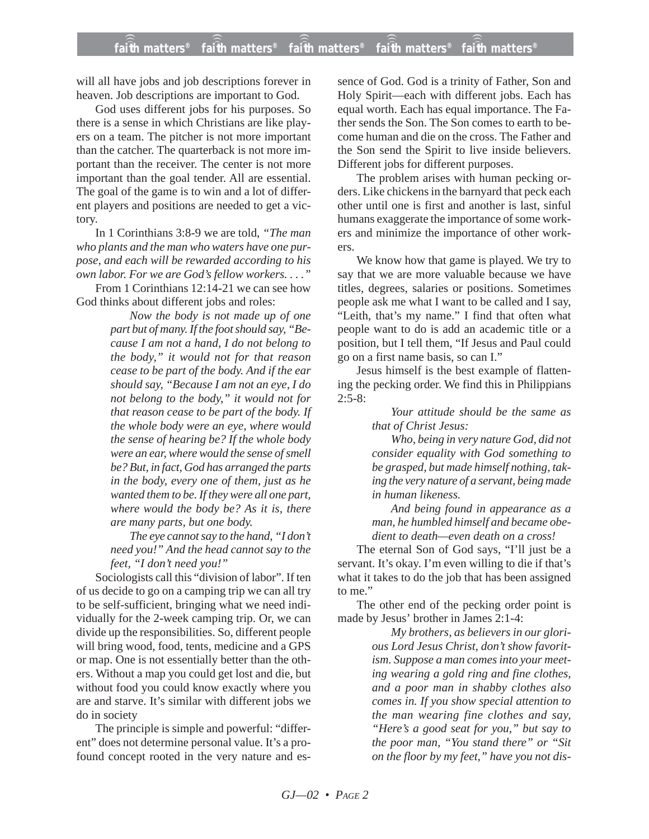will all have jobs and job descriptions forever in heaven. Job descriptions are important to God.

God uses different jobs for his purposes. So there is a sense in which Christians are like players on a team. The pitcher is not more important than the catcher. The quarterback is not more important than the receiver. The center is not more important than the goal tender. All are essential. The goal of the game is to win and a lot of different players and positions are needed to get a victory.

In 1 Corinthians 3:8-9 we are told, *"The man who plants and the man who waters have one purpose, and each will be rewarded according to his own labor. For we are God's fellow workers. . . ."*

From 1 Corinthians 12:14-21 we can see how God thinks about different jobs and roles:

> *Now the body is not made up of one part but of many. If the foot should say, "Because I am not a hand, I do not belong to the body," it would not for that reason cease to be part of the body. And if the ear should say, "Because I am not an eye, I do not belong to the body," it would not for that reason cease to be part of the body. If the whole body were an eye, where would the sense of hearing be? If the whole body were an ear, where would the sense of smell be? But, in fact, God has arranged the parts in the body, every one of them, just as he wanted them to be. If they were all one part, where would the body be? As it is, there are many parts, but one body.*

> *The eye cannot say to the hand, "I don't need you!" And the head cannot say to the feet, "I don't need you!"*

Sociologists call this "division of labor". If ten of us decide to go on a camping trip we can all try to be self-sufficient, bringing what we need individually for the 2-week camping trip. Or, we can divide up the responsibilities. So, different people will bring wood, food, tents, medicine and a GPS or map. One is not essentially better than the others. Without a map you could get lost and die, but without food you could know exactly where you are and starve. It's similar with different jobs we do in society

The principle is simple and powerful: "different" does not determine personal value. It's a profound concept rooted in the very nature and essence of God. God is a trinity of Father, Son and Holy Spirit—each with different jobs. Each has equal worth. Each has equal importance. The Father sends the Son. The Son comes to earth to become human and die on the cross. The Father and the Son send the Spirit to live inside believers. Different jobs for different purposes.

The problem arises with human pecking orders. Like chickens in the barnyard that peck each other until one is first and another is last, sinful humans exaggerate the importance of some workers and minimize the importance of other workers.

We know how that game is played. We try to say that we are more valuable because we have titles, degrees, salaries or positions. Sometimes people ask me what I want to be called and I say, "Leith, that's my name." I find that often what people want to do is add an academic title or a position, but I tell them, "If Jesus and Paul could go on a first name basis, so can I."

Jesus himself is the best example of flattening the pecking order. We find this in Philippians  $2:5-8:$ 

> *Your attitude should be the same as that of Christ Jesus:*

> *Who, being in very nature God, did not consider equality with God something to be grasped, but made himself nothing, taking the very nature of a servant, being made in human likeness.*

> *And being found in appearance as a man, he humbled himself and became obedient to death—even death on a cross!*

The eternal Son of God says, "I'll just be a servant. It's okay. I'm even willing to die if that's what it takes to do the job that has been assigned to me."

The other end of the pecking order point is made by Jesus' brother in James 2:1-4:

> *My brothers, as believers in our glorious Lord Jesus Christ, don't show favoritism. Suppose a man comes into your meeting wearing a gold ring and fine clothes, and a poor man in shabby clothes also comes in. If you show special attention to the man wearing fine clothes and say, "Here's a good seat for you," but say to the poor man, "You stand there" or "Sit on the floor by my feet," have you not dis-*